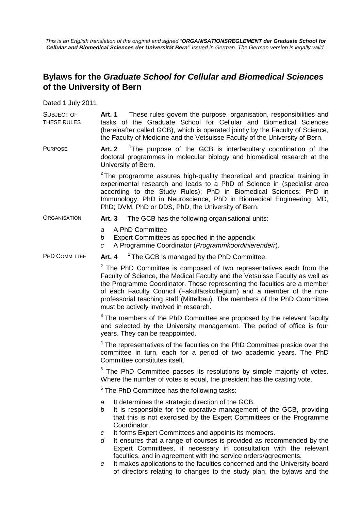*This is an English translation of the original and signed "ORGANISATIONSREGLEMENT der Graduate School for Cellular and Biomedical Sciences der Universität Bern" issued in German. The German version is legally valid.*

## **Bylaws for the** *Graduate School for Cellular and Biomedical Sciences* **of the University of Bern**

Dated 1 July 2011

SUBJECT OF THESE RULES **Art. 1** These rules govern the purpose, organisation, responsibilities and tasks of the Graduate School for Cellular and Biomedical Sciences (hereinafter called GCB), which is operated jointly by the Faculty of Science, the Faculty of Medicine and the Vetsuisse Faculty of the University of Bern.

PURPOSE **Art. 2** <sup>1</sup>The purpose of the GCB is interfacultary coordination of the doctoral programmes in molecular biology and biomedical research at the University of Bern.

> $2$  The programme assures high-quality theoretical and practical training in experimental research and leads to a PhD of Science in (specialist area according to the Study Rules); PhD in Biomedical Sciences; PhD in Immunology, PhD in Neuroscience, PhD in Biomedical Engineering; MD, PhD; DVM, PhD or DDS, PhD, the University of Bern.

#### ORGANISATION **Art. 3** The GCB has the following organisational units:

- *a* A PhD Committee
- *b* Expert Committees as specified in the appendix
- *c* A Programme Coordinator (*Programmkoordinierende/r*).

PHD COMMITTEE Art. 4 <sup>1</sup> The GCB is managed by the PhD Committee.

 $2$  The PhD Committee is composed of two representatives each from the Faculty of Science, the Medical Faculty and the Vetsuisse Faculty as well as the Programme Coordinator. Those representing the faculties are a member of each Faculty Council (Fakultätskollegium) and a member of the nonprofessorial teaching staff (Mittelbau). The members of the PhD Committee must be actively involved in research.

 $3$  The members of the PhD Committee are proposed by the relevant faculty and selected by the University management. The period of office is four years. They can be reappointed.

 $4$  The representatives of the faculties on the PhD Committee preside over the committee in turn, each for a period of two academic years. The PhD Committee constitutes itself.

 $5$  The PhD Committee passes its resolutions by simple majority of votes. Where the number of votes is equal, the president has the casting vote.

 $6$  The PhD Committee has the following tasks:

- *a* It determines the strategic direction of the GCB.
- *b* It is responsible for the operative management of the GCB, providing that this is not exercised by the Expert Committees or the Programme Coordinator.
- *c* It forms Expert Committees and appoints its members.
- *d* It ensures that a range of courses is provided as recommended by the Expert Committees, if necessary in consultation with the relevant faculties, and in agreement with the service orders/agreements.
- *e* It makes applications to the faculties concerned and the University board of directors relating to changes to the study plan, the bylaws and the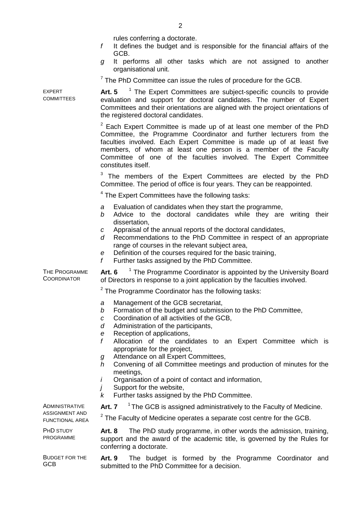|                                                     | rules conferring a doctorate.<br>It defines the budget and is responsible for the financial affairs of the<br>f<br>GCB.<br>It performs all other tasks which are not assigned to another<br>g<br>organisational unit.                                                                                                                                                                         |  |  |  |
|-----------------------------------------------------|-----------------------------------------------------------------------------------------------------------------------------------------------------------------------------------------------------------------------------------------------------------------------------------------------------------------------------------------------------------------------------------------------|--|--|--|
|                                                     | $7$ The PhD Committee can issue the rules of procedure for the GCB.                                                                                                                                                                                                                                                                                                                           |  |  |  |
| EXPERT<br>COMMITTEES                                | Art. $5-1$ The Expert Committees are subject-specific councils to provide<br>evaluation and support for doctoral candidates. The number of Expert<br>Committees and their orientations are aligned with the project orientations of<br>the registered doctoral candidates.                                                                                                                    |  |  |  |
|                                                     | <sup>2</sup> Each Expert Committee is made up of at least one member of the PhD<br>Committee, the Programme Coordinator and further lecturers from the<br>faculties involved. Each Expert Committee is made up of at least five<br>members, of whom at least one person is a member of the Faculty<br>Committee of one of the faculties involved. The Expert Committee<br>constitutes itself. |  |  |  |
|                                                     | <sup>3</sup> The members of the Expert Committees are elected by the PhD<br>Committee. The period of office is four years. They can be reappointed.                                                                                                                                                                                                                                           |  |  |  |
|                                                     | <sup>4</sup> The Expert Committees have the following tasks:                                                                                                                                                                                                                                                                                                                                  |  |  |  |
|                                                     | Evaluation of candidates when they start the programme,<br>a<br>Advice to the doctoral candidates while they are writing their<br>b<br>dissertation,                                                                                                                                                                                                                                          |  |  |  |
|                                                     | Appraisal of the annual reports of the doctoral candidates,<br>$\mathcal{C}$<br>Recommendations to the PhD Committee in respect of an appropriate<br>d<br>range of courses in the relevant subject area,<br>Definition of the courses required for the basic training,<br>e<br>Further tasks assigned by the PhD Committee.<br>f                                                              |  |  |  |
| THE PROGRAMME<br>COORDINATOR                        | <sup>1</sup> The Programme Coordinator is appointed by the University Board<br><b>Art. 6</b><br>of Directors in response to a joint application by the faculties involved.                                                                                                                                                                                                                    |  |  |  |
|                                                     | <sup>2</sup> The Programme Coordinator has the following tasks:                                                                                                                                                                                                                                                                                                                               |  |  |  |
|                                                     | Management of the GCB secretariat,<br>а<br>Formation of the budget and submission to the PhD Committee,<br>b<br>Coordination of all activities of the GCB,<br>C<br>Administration of the participants,<br>d<br>Reception of applications,<br>e                                                                                                                                                |  |  |  |
|                                                     | f<br>Allocation of the candidates to an Expert Committee which is<br>appropriate for the project,<br>Attendance on all Expert Committees,<br>g<br>Convening of all Committee meetings and production of minutes for the<br>h                                                                                                                                                                  |  |  |  |
|                                                     | meetings,<br>Organisation of a point of contact and information,<br>L<br>Support for the website,<br>İ<br>Further tasks assigned by the PhD Committee.<br>ĸ                                                                                                                                                                                                                                   |  |  |  |
| Administrative<br>ASSIGNMENT AND<br>FUNCTIONAL AREA | <sup>1</sup> The GCB is assigned administratively to the Faculty of Medicine.<br><b>Art. 7</b>                                                                                                                                                                                                                                                                                                |  |  |  |
|                                                     | $2$ The Faculty of Medicine operates a separate cost centre for the GCB.                                                                                                                                                                                                                                                                                                                      |  |  |  |
| PHD STUDY<br>PROGRAMME                              | The PhD study programme, in other words the admission, training,<br>Art. 8<br>support and the award of the academic title, is governed by the Rules for<br>conferring a doctorate.                                                                                                                                                                                                            |  |  |  |
| <b>BUDGET FOR THE</b><br>GCB                        | Art. 9 The budget is formed by the Programme Coordinator and<br>submitted to the PhD Committee for a decision.                                                                                                                                                                                                                                                                                |  |  |  |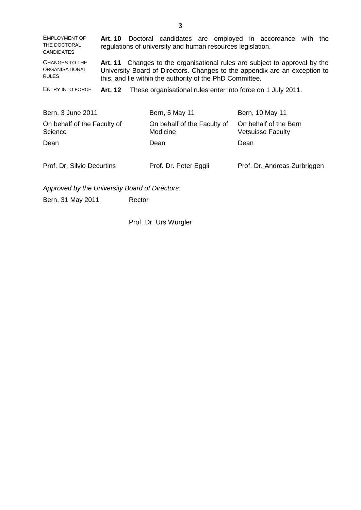| <b>EMPLOYMENT OF</b><br>THE DOCTORAL<br><b>CANDIDATES</b> | Art. 10                                                                                                                                                                                                                 | regulations of university and human resources legislation. | Doctoral candidates are employed in accordance with the |  |
|-----------------------------------------------------------|-------------------------------------------------------------------------------------------------------------------------------------------------------------------------------------------------------------------------|------------------------------------------------------------|---------------------------------------------------------|--|
| <b>CHANGES TO THE</b><br>ORGANISATIONAL<br><b>RULES</b>   | Changes to the organisational rules are subject to approval by the<br>Art. 11<br>University Board of Directors. Changes to the appendix are an exception to<br>this, and lie within the authority of the PhD Committee. |                                                            |                                                         |  |
| <b>ENTRY INTO FORCE</b>                                   | These organisational rules enter into force on 1 July 2011.<br>Art. 12                                                                                                                                                  |                                                            |                                                         |  |
|                                                           |                                                                                                                                                                                                                         |                                                            |                                                         |  |
| Bern, 3 June 2011                                         |                                                                                                                                                                                                                         | Bern, 5 May 11                                             | Bern, 10 May 11                                         |  |
| On behalf of the Faculty of<br>Science                    |                                                                                                                                                                                                                         | On behalf of the Faculty of<br>Medicine                    | On behalf of the Bern<br><b>Vetsuisse Faculty</b>       |  |
| Dean                                                      |                                                                                                                                                                                                                         | Dean                                                       | Dean                                                    |  |
|                                                           |                                                                                                                                                                                                                         |                                                            |                                                         |  |
| Prof. Dr. Silvio Decurtins                                |                                                                                                                                                                                                                         | Prof. Dr. Peter Eggli                                      | Prof. Dr. Andreas Zurbriggen                            |  |
|                                                           |                                                                                                                                                                                                                         |                                                            |                                                         |  |
| Approved by the University Board of Directors:            |                                                                                                                                                                                                                         |                                                            |                                                         |  |

Bern, 31 May 2011 Rector

Prof. Dr. Urs Würgler